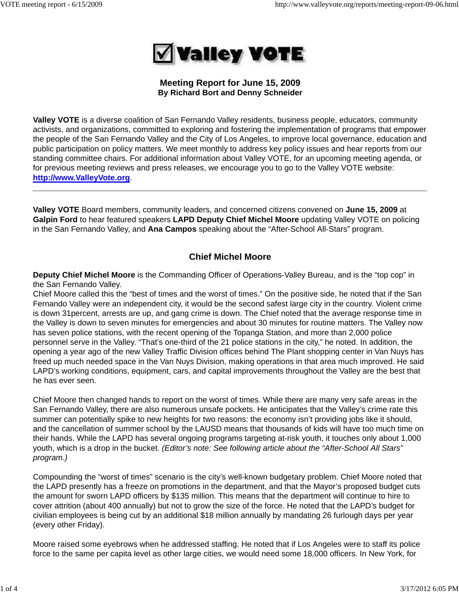

# **Meeting Report for June 15, 2009 By Richard Bort and Denny Schneider**

**Valley VOTE** is a diverse coalition of San Fernando Valley residents, business people, educators, community activists, and organizations, committed to exploring and fostering the implementation of programs that empower the people of the San Fernando Valley and the City of Los Angeles, to improve local governance, education and public participation on policy matters. We meet monthly to address key policy issues and hear reports from our standing committee chairs. For additional information about Valley VOTE, for an upcoming meeting agenda, or for previous meeting reviews and press releases, we encourage you to go to the Valley VOTE website: **http://www.ValleyVote.org**.

**Valley VOTE** Board members, community leaders, and concerned citizens convened on **June 15, 2009** at **Galpin Ford** to hear featured speakers **LAPD Deputy Chief Michel Moore** updating Valley VOTE on policing in the San Fernando Valley, and **Ana Campos** speaking about the "After-School All-Stars" program.

# **Chief Michel Moore**

**Deputy Chief Michel Moore** is the Commanding Officer of Operations-Valley Bureau, and is the "top cop" in the San Fernando Valley.

Chief Moore called this the "best of times and the worst of times." On the positive side, he noted that if the San Fernando Valley were an independent city, it would be the second safest large city in the country. Violent crime is down 31percent, arrests are up, and gang crime is down. The Chief noted that the average response time in the Valley is down to seven minutes for emergencies and about 30 minutes for routine matters. The Valley now has seven police stations, with the recent opening of the Topanga Station, and more than 2,000 police personnel serve in the Valley. "That's one-third of the 21 police stations in the city," he noted. In addition, the opening a year ago of the new Valley Traffic Division offices behind The Plant shopping center in Van Nuys has freed up much needed space in the Van Nuys Division, making operations in that area much improved. He said LAPD's working conditions, equipment, cars, and capital improvements throughout the Valley are the best that he has ever seen.

Chief Moore then changed hands to report on the worst of times. While there are many very safe areas in the San Fernando Valley, there are also numerous unsafe pockets. He anticipates that the Valley's crime rate this summer can potentially spike to new heights for two reasons: the economy isn't providing jobs like it should, and the cancellation of summer school by the LAUSD means that thousands of kids will have too much time on their hands. While the LAPD has several ongoing programs targeting at-risk youth, it touches only about 1,000 youth, which is a drop in the bucket. *(Editor's note: See following article about the "After-School All Stars" program.)*

Compounding the "worst of times" scenario is the city's well-known budgetary problem. Chief Moore noted that the LAPD presently has a freeze on promotions in the department, and that the Mayor's proposed budget cuts the amount for sworn LAPD officers by \$135 million. This means that the department will continue to hire to cover attrition (about 400 annually) but not to grow the size of the force. He noted that the LAPD's budget for civilian employees is being cut by an additional \$18 million annually by mandating 26 furlough days per year (every other Friday).

Moore raised some eyebrows when he addressed staffing. He noted that if Los Angeles were to staff its police force to the same per capita level as other large cities, we would need some 18,000 officers. In New York, for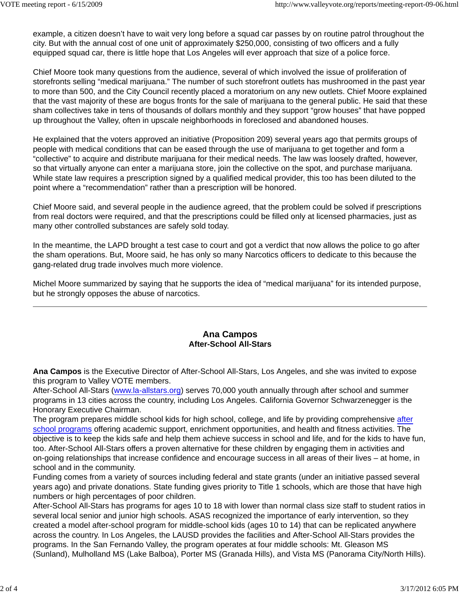example, a citizen doesn't have to wait very long before a squad car passes by on routine patrol throughout the city. But with the annual cost of one unit of approximately \$250,000, consisting of two officers and a fully equipped squad car, there is little hope that Los Angeles will ever approach that size of a police force.

Chief Moore took many questions from the audience, several of which involved the issue of proliferation of storefronts selling "medical marijuana." The number of such storefront outlets has mushroomed in the past year to more than 500, and the City Council recently placed a moratorium on any new outlets. Chief Moore explained that the vast majority of these are bogus fronts for the sale of marijuana to the general public. He said that these sham collectives take in tens of thousands of dollars monthly and they support "grow houses" that have popped up throughout the Valley, often in upscale neighborhoods in foreclosed and abandoned houses.

He explained that the voters approved an initiative (Proposition 209) several years ago that permits groups of people with medical conditions that can be eased through the use of marijuana to get together and form a "collective" to acquire and distribute marijuana for their medical needs. The law was loosely drafted, however, so that virtually anyone can enter a marijuana store, join the collective on the spot, and purchase marijuana. While state law requires a prescription signed by a qualified medical provider, this too has been diluted to the point where a "recommendation" rather than a prescription will be honored.

Chief Moore said, and several people in the audience agreed, that the problem could be solved if prescriptions from real doctors were required, and that the prescriptions could be filled only at licensed pharmacies, just as many other controlled substances are safely sold today.

In the meantime, the LAPD brought a test case to court and got a verdict that now allows the police to go after the sham operations. But, Moore said, he has only so many Narcotics officers to dedicate to this because the gang-related drug trade involves much more violence.

Michel Moore summarized by saying that he supports the idea of "medical marijuana" for its intended purpose, but he strongly opposes the abuse of narcotics.

# **Ana Campos After-School All-Stars**

**Ana Campos** is the Executive Director of After-School All-Stars, Los Angeles, and she was invited to expose this program to Valley VOTE members.

After-School All-Stars (www.la-allstars.org) serves 70,000 youth annually through after school and summer programs in 13 cities across the country, including Los Angeles. California Governor Schwarzenegger is the Honorary Executive Chairman.

The program prepares middle school kids for high school, college, and life by providing comprehensive after school programs offering academic support, enrichment opportunities, and health and fitness activities. The objective is to keep the kids safe and help them achieve success in school and life, and for the kids to have fun, too. After-School All-Stars offers a proven alternative for these children by engaging them in activities and on-going relationships that increase confidence and encourage success in all areas of their lives – at home, in school and in the community.

Funding comes from a variety of sources including federal and state grants (under an initiative passed several years ago) and private donations. State funding gives priority to Title 1 schools, which are those that have high numbers or high percentages of poor children.

After-School All-Stars has programs for ages 10 to 18 with lower than normal class size staff to student ratios in several local senior and junior high schools. ASAS recognized the importance of early intervention, so they created a model after-school program for middle-school kids (ages 10 to 14) that can be replicated anywhere across the country. In Los Angeles, the LAUSD provides the facilities and After-School All-Stars provides the programs. In the San Fernando Valley, the program operates at four middle schools: Mt. Gleason MS (Sunland), Mulholland MS (Lake Balboa), Porter MS (Granada Hills), and Vista MS (Panorama City/North Hills).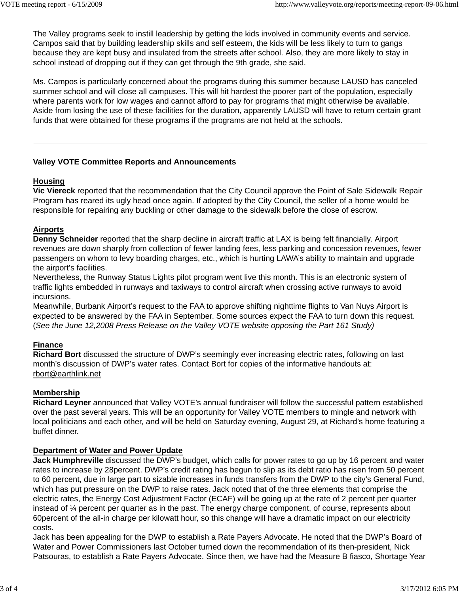The Valley programs seek to instill leadership by getting the kids involved in community events and service. Campos said that by building leadership skills and self esteem, the kids will be less likely to turn to gangs because they are kept busy and insulated from the streets after school. Also, they are more likely to stay in school instead of dropping out if they can get through the 9th grade, she said.

Ms. Campos is particularly concerned about the programs during this summer because LAUSD has canceled summer school and will close all campuses. This will hit hardest the poorer part of the population, especially where parents work for low wages and cannot afford to pay for programs that might otherwise be available. Aside from losing the use of these facilities for the duration, apparently LAUSD will have to return certain grant funds that were obtained for these programs if the programs are not held at the schools.

### **Valley VOTE Committee Reports and Announcements**

# **Housing**

**Vic Viereck** reported that the recommendation that the City Council approve the Point of Sale Sidewalk Repair Program has reared its ugly head once again. If adopted by the City Council, the seller of a home would be responsible for repairing any buckling or other damage to the sidewalk before the close of escrow.

# **Airports**

**Denny Schneider** reported that the sharp decline in aircraft traffic at LAX is being felt financially. Airport revenues are down sharply from collection of fewer landing fees, less parking and concession revenues, fewer passengers on whom to levy boarding charges, etc., which is hurting LAWA's ability to maintain and upgrade the airport's facilities.

Nevertheless, the Runway Status Lights pilot program went live this month. This is an electronic system of traffic lights embedded in runways and taxiways to control aircraft when crossing active runways to avoid incursions.

Meanwhile, Burbank Airport's request to the FAA to approve shifting nighttime flights to Van Nuys Airport is expected to be answered by the FAA in September. Some sources expect the FAA to turn down this request. (*See the June 12,2008 Press Release on the Valley VOTE website opposing the Part 161 Study)*

# **Finance**

**Richard Bort** discussed the structure of DWP's seemingly ever increasing electric rates, following on last month's discussion of DWP's water rates. Contact Bort for copies of the informative handouts at: rbort@earthlink.net

### **Membership**

**Richard Leyner** announced that Valley VOTE's annual fundraiser will follow the successful pattern established over the past several years. This will be an opportunity for Valley VOTE members to mingle and network with local politicians and each other, and will be held on Saturday evening, August 29, at Richard's home featuring a buffet dinner.

### **Department of Water and Power Update**

**Jack Humphreville** discussed the DWP's budget, which calls for power rates to go up by 16 percent and water rates to increase by 28percent. DWP's credit rating has begun to slip as its debt ratio has risen from 50 percent to 60 percent, due in large part to sizable increases in funds transfers from the DWP to the city's General Fund, which has put pressure on the DWP to raise rates. Jack noted that of the three elements that comprise the electric rates, the Energy Cost Adjustment Factor (ECAF) will be going up at the rate of 2 percent per quarter instead of ¼ percent per quarter as in the past. The energy charge component, of course, represents about 60percent of the all-in charge per kilowatt hour, so this change will have a dramatic impact on our electricity costs.

Jack has been appealing for the DWP to establish a Rate Payers Advocate. He noted that the DWP's Board of Water and Power Commissioners last October turned down the recommendation of its then-president, Nick Patsouras, to establish a Rate Payers Advocate. Since then, we have had the Measure B fiasco, Shortage Year